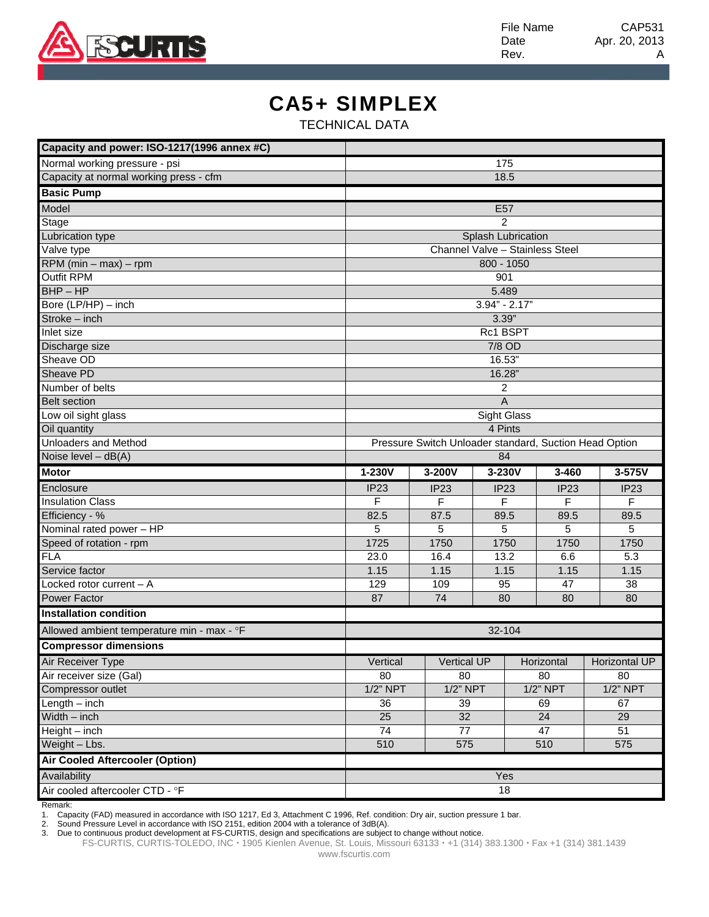

File Name CAP531 Date Apr. 20, 2013 Rev. A

## CA5+ SIMPLEX

TECHNICAL DATA

| Capacity and power: ISO-1217(1996 annex #C) |                                                        |             |                 |              |                  |                |  |  |  |  |
|---------------------------------------------|--------------------------------------------------------|-------------|-----------------|--------------|------------------|----------------|--|--|--|--|
| Normal working pressure - psi               | 175                                                    |             |                 |              |                  |                |  |  |  |  |
| Capacity at normal working press - cfm      | 18.5                                                   |             |                 |              |                  |                |  |  |  |  |
| <b>Basic Pump</b>                           |                                                        |             |                 |              |                  |                |  |  |  |  |
| Model                                       |                                                        |             | E <sub>57</sub> |              |                  |                |  |  |  |  |
| Stage                                       | $\mathcal{P}$                                          |             |                 |              |                  |                |  |  |  |  |
| <b>Lubrication type</b>                     | Splash Lubrication                                     |             |                 |              |                  |                |  |  |  |  |
| Valve type                                  | Channel Valve - Stainless Steel                        |             |                 |              |                  |                |  |  |  |  |
| $RPM$ (min – max) – rpm                     | 800 - 1050                                             |             |                 |              |                  |                |  |  |  |  |
| <b>Outfit RPM</b>                           | 901                                                    |             |                 |              |                  |                |  |  |  |  |
| $BHP - HP$                                  | 5.489                                                  |             |                 |              |                  |                |  |  |  |  |
| Bore (LP/HP) - inch                         | $3.94" - 2.17"$                                        |             |                 |              |                  |                |  |  |  |  |
| $Stroke - inch$                             | 3.39"                                                  |             |                 |              |                  |                |  |  |  |  |
| Inlet size                                  | Rc1 BSPT                                               |             |                 |              |                  |                |  |  |  |  |
| Discharge size                              | 7/8 OD                                                 |             |                 |              |                  |                |  |  |  |  |
| Sheave OD                                   | 16.53"                                                 |             |                 |              |                  |                |  |  |  |  |
| Sheave PD                                   | 16.28"                                                 |             |                 |              |                  |                |  |  |  |  |
| Number of belts                             | 2                                                      |             |                 |              |                  |                |  |  |  |  |
| <b>Belt section</b>                         | $\overline{A}$                                         |             |                 |              |                  |                |  |  |  |  |
| Low oil sight glass                         | Sight Glass                                            |             |                 |              |                  |                |  |  |  |  |
| Oil quantity                                | 4 Pints                                                |             |                 |              |                  |                |  |  |  |  |
| <b>Unloaders and Method</b>                 | Pressure Switch Unloader standard, Suction Head Option |             |                 |              |                  |                |  |  |  |  |
| Noise level - dB(A)                         | 84                                                     |             |                 |              |                  |                |  |  |  |  |
| <b>Motor</b>                                | 1-230V                                                 | 3-200V      | 3-230V          |              | 3-460            | 3-575V         |  |  |  |  |
| Enclosure                                   | IP <sub>23</sub>                                       | IP23        | <b>IP23</b>     |              | IP <sub>23</sub> | <b>IP23</b>    |  |  |  |  |
| <b>Insulation Class</b>                     | F                                                      | F           | F               | F            |                  | F              |  |  |  |  |
| Efficiency - %                              | 82.5                                                   | 87.5        |                 | 89.5<br>89.5 |                  | 89.5           |  |  |  |  |
| Nominal rated power - HP                    | 5                                                      | 5           | 5               |              | 5                | 5              |  |  |  |  |
| Speed of rotation - rpm                     | 1725                                                   | 1750        | 1750            |              | 1750             | 1750           |  |  |  |  |
| <b>FLA</b>                                  | 23.0                                                   | 16.4        | 13.2            |              | 6.6              | 5.3            |  |  |  |  |
| Service factor                              | 1.15                                                   | 1.15        | 1.15            |              | 1.15<br>47       | 1.15           |  |  |  |  |
| Locked rotor current - A                    | 129                                                    | 109         | 95              |              |                  | 38             |  |  |  |  |
| <b>Power Factor</b>                         | 87                                                     | 74          | 80              |              | 80               | 80             |  |  |  |  |
| <b>Installation condition</b>               |                                                        |             |                 |              |                  |                |  |  |  |  |
| Allowed ambient temperature min - max - °F  | 32-104                                                 |             |                 |              |                  |                |  |  |  |  |
| <b>Compressor dimensions</b>                |                                                        |             |                 |              |                  |                |  |  |  |  |
| Air Receiver Type                           | Vertical                                               | Vertical UP |                 |              | Horizontal       | Florizontal UP |  |  |  |  |
| Air receiver size (Gal)                     | 80                                                     | 80          |                 | 80           |                  | 80             |  |  |  |  |
| Compressor outlet                           | $1/2$ " NPT                                            | $1/2$ " NPT |                 | $1/2$ " NPT  |                  | $1/2$ " NPT    |  |  |  |  |
| $Length - inch$                             | 36                                                     | 39          |                 | 69           |                  | 67             |  |  |  |  |
| $Width - inch$                              | 25                                                     | 32          |                 |              | 24               | 29             |  |  |  |  |
| $Height - inch$                             | 74                                                     | 77          |                 | 47           |                  | 51             |  |  |  |  |
| Weight - Lbs.                               | 510                                                    | 575         |                 | 510          |                  | 575            |  |  |  |  |
| <b>Air Cooled Aftercooler (Option)</b>      |                                                        |             |                 |              |                  |                |  |  |  |  |
| Availability                                | Yes                                                    |             |                 |              |                  |                |  |  |  |  |
|                                             |                                                        |             |                 |              |                  |                |  |  |  |  |

Remark:

1. Capacity (FAD) measured in accordance with ISO 1217, Ed 3, Attachment C 1996, Ref. condition: Dry air, suction pressure 1 bar.

2. Sound Pressure Level in accordance with ISO 2151, edition 2004 with a tolerance of 3dB(A).

3. Due to continuous product development at FS-CURTIS, design and specifications are subject to change without notice.

FS-CURTIS, CURTIS-TOLEDO, INC · 1905 Kienlen Avenue, St. Louis, Missouri 63133 · +1 (314) 383.1300 · Fax +1 (314) 381.1439 www.fscurtis.com